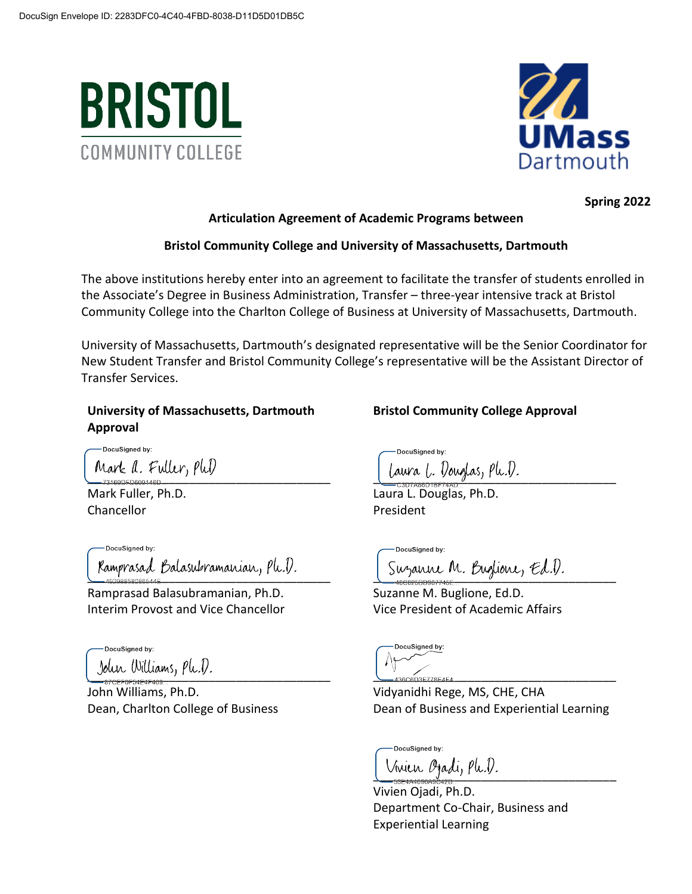



**Spring 2022**

#### **Articulation Agreement of Academic Programs between**

# **Bristol Community College and University of Massachusetts, Dartmouth**

The above institutions hereby enter into an agreement to facilitate the transfer of students enrolled in the Associate's Degree in Business Administration, Transfer – three-year intensive track at Bristol Community College into the Charlton College of Business at University of Massachusetts, Dartmouth.

University of Massachusetts, Dartmouth's designated representative will be the Senior Coordinator for New Student Transfer and Bristol Community College's representative will be the Assistant Director of Transfer Services.

# **University of Massachusetts, Dartmouth Approval**

-DocuSigned by:

Mark Fuller, Ph.D. Chancellor

Ramprasad Balasubramanian, Ph.D. [Suzanne M. Buglione, Ed.D.

Ramprasad Balasubramanian, Ph.D. Interim Provost and Vice Chancellor

DocuSigned by: John Williams,  $plu.D.$ 

John Williams, Ph.D. Dean, Charlton College of Business **Bristol Community College Approval**

DocuSianed by: Mark a. Fuller, PhD [Laura L. Douglas, Ph.D.

Laura L. Douglas, Ph.D. President

DocuSianed by:

Suzanne M. Buglione, Ed.D. Vice President of Academic Affairs

DocuSigned by:

Vidyanidhi Rege, MS, CHE, CHA Dean of Business and Experiential Learning

DocuSigned by: Vinien Ojadi, Ple.D.

Vivien Ojadi, Ph.D. Department Co-Chair, Business and Experiential Learning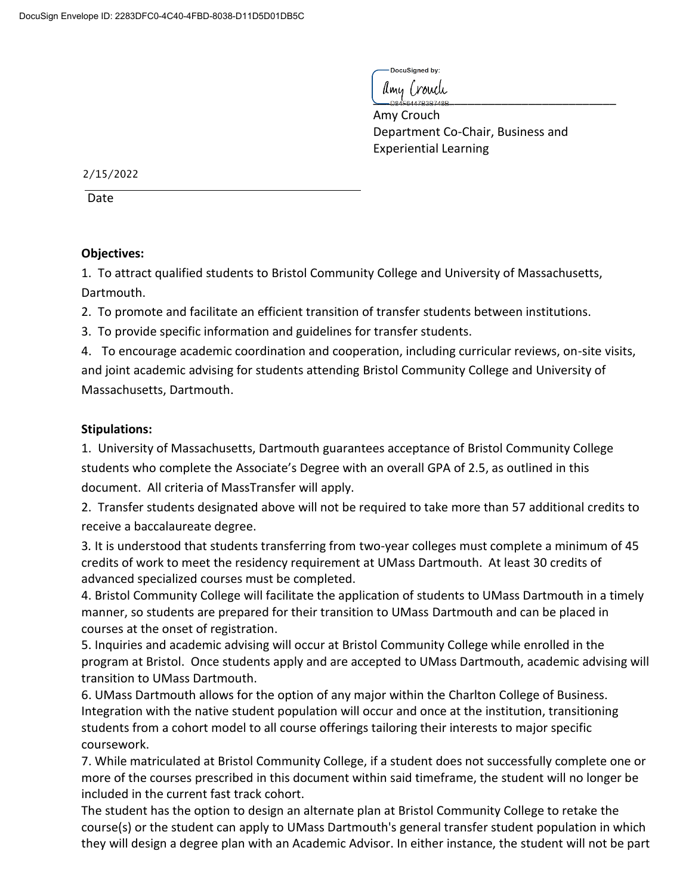DocuSianed by:

 $\sum_{\text{D84F6447B3B748B}}$ 

Amy Crouch Department Co-Chair, Business and Experiential Learning

2/15/2022

Date

# **Objectives:**

1. To attract qualified students to Bristol Community College and University of Massachusetts, Dartmouth.

2. To promote and facilitate an efficient transition of transfer students between institutions.

3. To provide specific information and guidelines for transfer students.

4. To encourage academic coordination and cooperation, including curricular reviews, on-site visits, and joint academic advising for students attending Bristol Community College and University of Massachusetts, Dartmouth.

# **Stipulations:**

1. University of Massachusetts, Dartmouth guarantees acceptance of Bristol Community College students who complete the Associate's Degree with an overall GPA of 2.5, as outlined in this document. All criteria of MassTransfer will apply.

2. Transfer students designated above will not be required to take more than 57 additional credits to receive a baccalaureate degree.

3*.* It is understood that students transferring from two-year colleges must complete a minimum of 45 credits of work to meet the residency requirement at UMass Dartmouth. At least 30 credits of advanced specialized courses must be completed.

4. Bristol Community College will facilitate the application of students to UMass Dartmouth in a timely manner, so students are prepared for their transition to UMass Dartmouth and can be placed in courses at the onset of registration.

5. Inquiries and academic advising will occur at Bristol Community College while enrolled in the program at Bristol. Once students apply and are accepted to UMass Dartmouth, academic advising will transition to UMass Dartmouth.

6. UMass Dartmouth allows for the option of any major within the Charlton College of Business. Integration with the native student population will occur and once at the institution, transitioning students from a cohort model to all course offerings tailoring their interests to major specific coursework.

7. While matriculated at Bristol Community College, if a student does not successfully complete one or more of the courses prescribed in this document within said timeframe, the student will no longer be included in the current fast track cohort.

The student has the option to design an alternate plan at Bristol Community College to retake the course(s) or the student can apply to UMass Dartmouth's general transfer student population in which they will design a degree plan with an Academic Advisor. In either instance, the student will not be part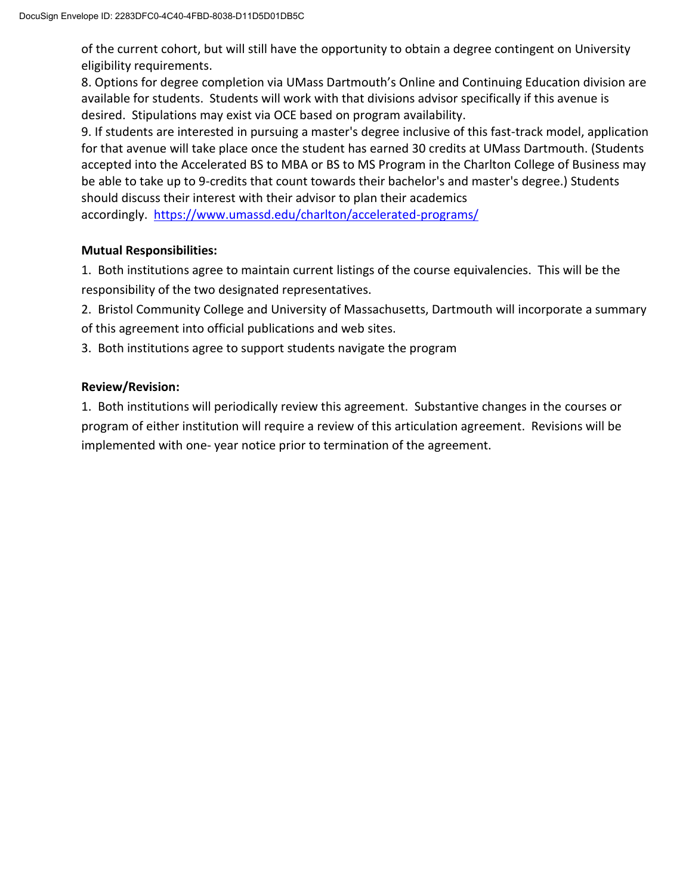of the current cohort, but will still have the opportunity to obtain a degree contingent on University eligibility requirements.

8. Options for degree completion via UMass Dartmouth's Online and Continuing Education division are available for students. Students will work with that divisions advisor specifically if this avenue is desired. Stipulations may exist via OCE based on program availability.

9. If students are interested in pursuing a master's degree inclusive of this fast-track model, application for that avenue will take place once the student has earned 30 credits at UMass Dartmouth. (Students accepted into the Accelerated BS to MBA or BS to MS Program in the Charlton College of Business may be able to take up to 9-credits that count towards their bachelor's and master's degree.) Students should discuss their interest with their advisor to plan their academics

accordingly. <https://www.umassd.edu/charlton/accelerated-programs/>

### **Mutual Responsibilities:**

1. Both institutions agree to maintain current listings of the course equivalencies. This will be the responsibility of the two designated representatives.

2. Bristol Community College and University of Massachusetts, Dartmouth will incorporate a summary of this agreement into official publications and web sites.

3. Both institutions agree to support students navigate the program

### **Review/Revision:**

1. Both institutions will periodically review this agreement. Substantive changes in the courses or program of either institution will require a review of this articulation agreement. Revisions will be implemented with one- year notice prior to termination of the agreement.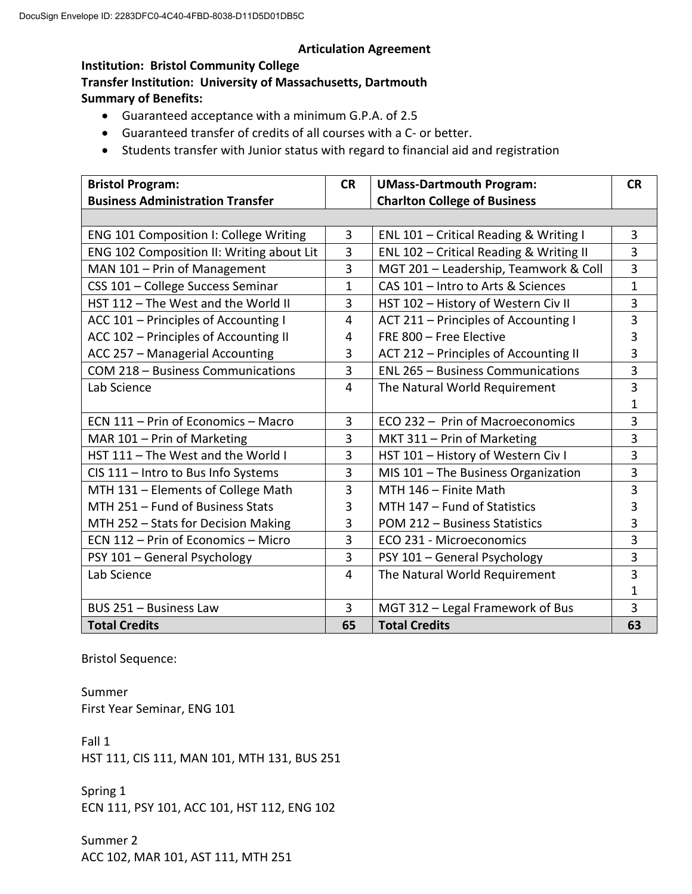#### **Articulation Agreement**

#### **Institution: Bristol Community College**

**Transfer Institution: University of Massachusetts, Dartmouth Summary of Benefits:**

- Guaranteed acceptance with a minimum G.P.A. of 2.5
- Guaranteed transfer of credits of all courses with a C- or better.
- Students transfer with Junior status with regard to financial aid and registration

| <b>Bristol Program:</b>                       | <b>CR</b>      | <b>UMass-Dartmouth Program:</b>          | <b>CR</b> |
|-----------------------------------------------|----------------|------------------------------------------|-----------|
| <b>Business Administration Transfer</b>       |                | <b>Charlton College of Business</b>      |           |
|                                               |                |                                          |           |
| <b>ENG 101 Composition I: College Writing</b> | 3              | ENL 101 - Critical Reading & Writing I   | 3         |
| ENG 102 Composition II: Writing about Lit     | 3              | ENL 102 - Critical Reading & Writing II  | 3         |
| MAN 101 - Prin of Management                  | 3              | MGT 201 - Leadership, Teamwork & Coll    | 3         |
| CSS 101 - College Success Seminar             | 1              | CAS 101 - Intro to Arts & Sciences       | 1         |
| HST 112 - The West and the World II           | 3              | HST 102 - History of Western Civ II      | 3         |
| ACC 101 - Principles of Accounting I          | 4              | ACT 211 - Principles of Accounting I     | 3         |
| ACC 102 - Principles of Accounting II         | 4              | FRE 800 - Free Elective                  | 3         |
| ACC 257 - Managerial Accounting               | 3              | ACT 212 – Principles of Accounting II    | 3         |
| COM 218 - Business Communications             | 3              | <b>ENL 265 - Business Communications</b> | 3         |
| Lab Science                                   | 4              | The Natural World Requirement            | 3         |
|                                               |                |                                          | 1         |
| ECN 111 - Prin of Economics - Macro           | 3              | ECO 232 - Prin of Macroeconomics         | 3         |
| MAR 101 - Prin of Marketing                   | 3              | MKT 311 - Prin of Marketing              | 3         |
| HST 111 - The West and the World I            | 3              | HST 101 - History of Western Civ I       | 3         |
| CIS 111 - Intro to Bus Info Systems           | 3              | MIS 101 - The Business Organization      | 3         |
| MTH 131 - Elements of College Math            | 3              | MTH 146 - Finite Math                    | 3         |
| MTH 251 - Fund of Business Stats              | 3              | MTH 147 - Fund of Statistics             | 3         |
| MTH 252 - Stats for Decision Making           | 3              | POM 212 - Business Statistics            | 3         |
| ECN 112 - Prin of Economics - Micro           | 3              | ECO 231 - Microeconomics                 | 3         |
| PSY 101 - General Psychology                  | 3              | PSY 101 - General Psychology             | 3         |
| Lab Science                                   | $\overline{4}$ | The Natural World Requirement            | 3         |
|                                               |                |                                          | 1         |
| BUS 251 - Business Law                        | 3              | MGT 312 - Legal Framework of Bus         | 3         |
| <b>Total Credits</b>                          | 65             | <b>Total Credits</b>                     | 63        |

Bristol Sequence:

Summer First Year Seminar, ENG 101

Fall 1 HST 111, CIS 111, MAN 101, MTH 131, BUS 251

Spring 1 ECN 111, PSY 101, ACC 101, HST 112, ENG 102

Summer 2 ACC 102, MAR 101, AST 111, MTH 251